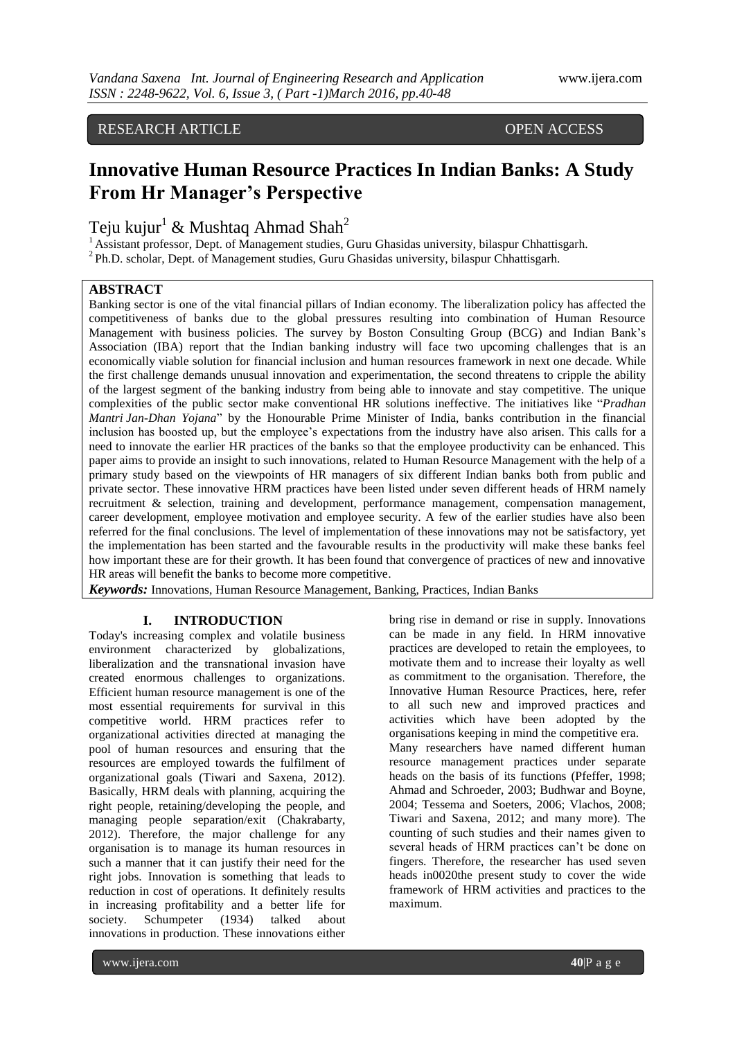# RESEARCH ARTICLE OPEN ACCESS

# **Innovative Human Resource Practices In Indian Banks: A Study From Hr Manager's Perspective**

Teju kujur<sup>1</sup> & Mushtaq Ahmad Shah<sup>2</sup>

<sup>1</sup>Assistant professor, Dept. of Management studies, Guru Ghasidas university, bilaspur Chhattisgarh. <sup>2</sup>Ph.D. scholar, Dept. of Management studies, Guru Ghasidas university, bilaspur Chhattisgarh.

# **ABSTRACT**

Banking sector is one of the vital financial pillars of Indian economy. The liberalization policy has affected the competitiveness of banks due to the global pressures resulting into combination of Human Resource Management with business policies. The survey by Boston Consulting Group (BCG) and Indian Bank's Association (IBA) report that the Indian banking industry will face two upcoming challenges that is an economically viable solution for financial inclusion and human resources framework in next one decade. While the first challenge demands unusual innovation and experimentation, the second threatens to cripple the ability of the largest segment of the banking industry from being able to innovate and stay competitive. The unique complexities of the public sector make conventional HR solutions ineffective. The initiatives like "*Pradhan Mantri Jan-Dhan Yojana*" by the Honourable Prime Minister of India, banks contribution in the financial inclusion has boosted up, but the employee's expectations from the industry have also arisen. This calls for a need to innovate the earlier HR practices of the banks so that the employee productivity can be enhanced. This paper aims to provide an insight to such innovations, related to Human Resource Management with the help of a primary study based on the viewpoints of HR managers of six different Indian banks both from public and private sector. These innovative HRM practices have been listed under seven different heads of HRM namely recruitment & selection, training and development, performance management, compensation management, career development, employee motivation and employee security. A few of the earlier studies have also been referred for the final conclusions. The level of implementation of these innovations may not be satisfactory, yet the implementation has been started and the favourable results in the productivity will make these banks feel how important these are for their growth. It has been found that convergence of practices of new and innovative HR areas will benefit the banks to become more competitive.

*Keywords:* Innovations, Human Resource Management, Banking, Practices, Indian Banks

### **I. INTRODUCTION**

Today's increasing complex and volatile business environment characterized by globalizations, liberalization and the transnational invasion have created enormous challenges to organizations. Efficient human resource management is one of the most essential requirements for survival in this competitive world. HRM practices refer to organizational activities directed at managing the pool of human resources and ensuring that the resources are employed towards the fulfilment of organizational goals (Tiwari and Saxena, 2012). Basically, HRM deals with planning, acquiring the right people, retaining/developing the people, and managing people separation/exit (Chakrabarty, 2012). Therefore, the major challenge for any organisation is to manage its human resources in such a manner that it can justify their need for the right jobs. Innovation is something that leads to reduction in cost of operations. It definitely results in increasing profitability and a better life for society. Schumpeter (1934) talked about society. Schumpeter (1934) talked about innovations in production. These innovations either

bring rise in demand or rise in supply. Innovations can be made in any field. In HRM innovative practices are developed to retain the employees, to motivate them and to increase their loyalty as well as commitment to the organisation. Therefore, the Innovative Human Resource Practices, here, refer to all such new and improved practices and activities which have been adopted by the organisations keeping in mind the competitive era. Many researchers have named different human resource management practices under separate heads on the basis of its functions (Pfeffer, 1998; Ahmad and Schroeder, 2003; Budhwar and Boyne, 2004; Tessema and Soeters, 2006; Vlachos, 2008; Tiwari and Saxena, 2012; and many more). The counting of such studies and their names given to several heads of HRM practices can't be done on fingers. Therefore, the researcher has used seven heads in0020the present study to cover the wide framework of HRM activities and practices to the maximum.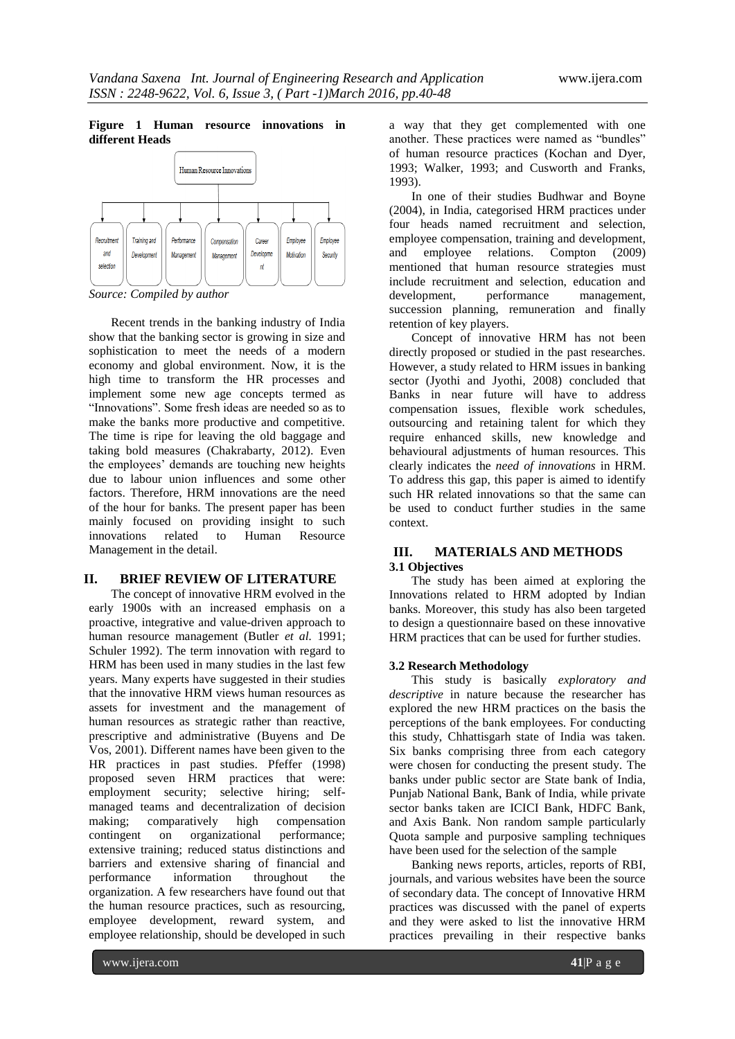#### **Figure 1 Human resource innovations in different Heads**



*Source: Compiled by author*

Recent trends in the banking industry of India show that the banking sector is growing in size and sophistication to meet the needs of a modern economy and global environment. Now, it is the high time to transform the HR processes and implement some new age concepts termed as "Innovations". Some fresh ideas are needed so as to make the banks more productive and competitive. The time is ripe for leaving the old baggage and taking bold measures (Chakrabarty, 2012). Even the employees' demands are touching new heights due to labour union influences and some other factors. Therefore, HRM innovations are the need of the hour for banks. The present paper has been mainly focused on providing insight to such innovations related to Human Resource Management in the detail.

# **II. BRIEF REVIEW OF LITERATURE**

The concept of innovative HRM evolved in the early 1900s with an increased emphasis on a proactive, integrative and value-driven approach to human resource management (Butler *et al.* 1991; Schuler 1992). The term innovation with regard to HRM has been used in many studies in the last few years. Many experts have suggested in their studies that the innovative HRM views human resources as assets for investment and the management of human resources as strategic rather than reactive, prescriptive and administrative (Buyens and De Vos, 2001). Different names have been given to the HR practices in past studies. Pfeffer (1998) proposed seven HRM practices that were: employment security; selective hiring; selfmanaged teams and decentralization of decision making; comparatively high compensation contingent on organizational performance; extensive training; reduced status distinctions and barriers and extensive sharing of financial and performance information throughout the organization. A few researchers have found out that the human resource practices, such as resourcing, employee development, reward system, and employee relationship, should be developed in such

a way that they get complemented with one another. These practices were named as "bundles" of human resource practices (Kochan and Dyer, 1993; Walker, 1993; and Cusworth and Franks, 1993).

In one of their studies Budhwar and Boyne (2004), in India, categorised HRM practices under four heads named recruitment and selection, employee compensation, training and development, and employee relations. Compton (2009) mentioned that human resource strategies must include recruitment and selection, education and development, performance management, succession planning, remuneration and finally retention of key players.

Concept of innovative HRM has not been directly proposed or studied in the past researches. However, a study related to HRM issues in banking sector (Jyothi and Jyothi, 2008) concluded that Banks in near future will have to address compensation issues, flexible work schedules, outsourcing and retaining talent for which they require enhanced skills, new knowledge and behavioural adjustments of human resources. This clearly indicates the *need of innovations* in HRM. To address this gap, this paper is aimed to identify such HR related innovations so that the same can be used to conduct further studies in the same context.

# **III. MATERIALS AND METHODS 3.1 Objectives**

The study has been aimed at exploring the Innovations related to HRM adopted by Indian banks. Moreover, this study has also been targeted to design a questionnaire based on these innovative HRM practices that can be used for further studies.

#### **3.2 Research Methodology**

This study is basically *exploratory and descriptive* in nature because the researcher has explored the new HRM practices on the basis the perceptions of the bank employees. For conducting this study, Chhattisgarh state of India was taken. Six banks comprising three from each category were chosen for conducting the present study. The banks under public sector are State bank of India, Punjab National Bank, Bank of India, while private sector banks taken are ICICI Bank, HDFC Bank, and Axis Bank. Non random sample particularly Quota sample and purposive sampling techniques have been used for the selection of the sample

Banking news reports, articles, reports of RBI, journals, and various websites have been the source of secondary data. The concept of Innovative HRM practices was discussed with the panel of experts and they were asked to list the innovative HRM practices prevailing in their respective banks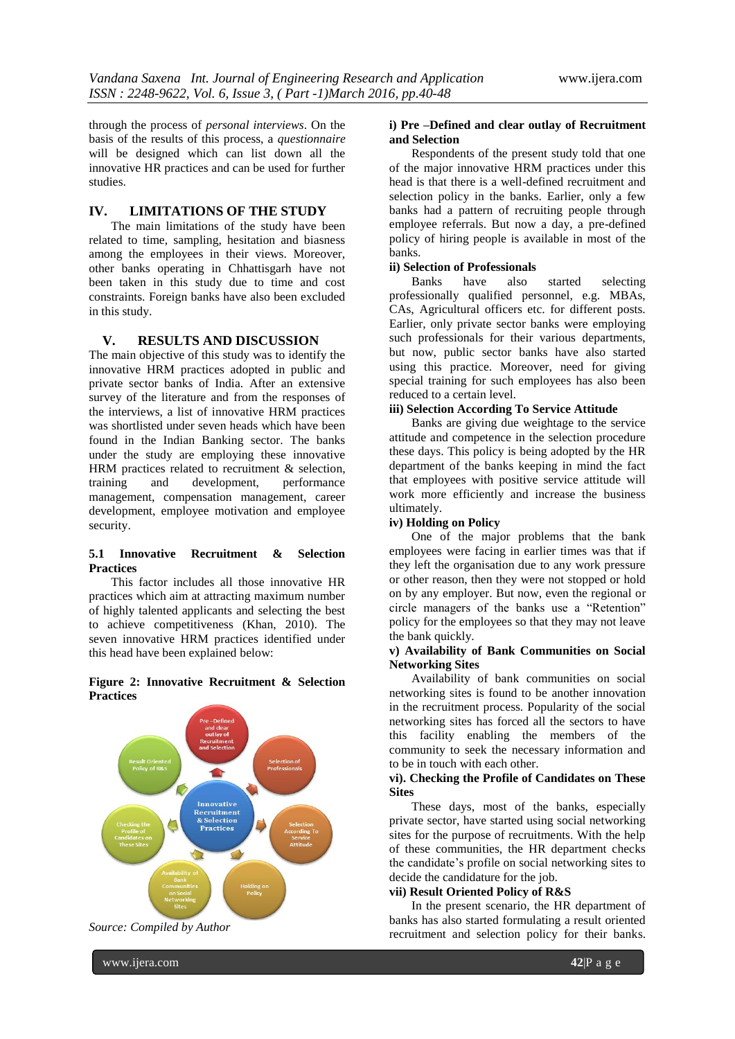through the process of *personal interviews*. On the basis of the results of this process, a *questionnaire*  will be designed which can list down all the innovative HR practices and can be used for further studies.

# **IV. LIMITATIONS OF THE STUDY**

The main limitations of the study have been related to time, sampling, hesitation and biasness among the employees in their views. Moreover, other banks operating in Chhattisgarh have not been taken in this study due to time and cost constraints. Foreign banks have also been excluded in this study.

#### **V. RESULTS AND DISCUSSION**

The main objective of this study was to identify the innovative HRM practices adopted in public and private sector banks of India. After an extensive survey of the literature and from the responses of the interviews, a list of innovative HRM practices was shortlisted under seven heads which have been found in the Indian Banking sector. The banks under the study are employing these innovative HRM practices related to recruitment & selection, training and development, performance management, compensation management, career development, employee motivation and employee security.

#### **5.1 Innovative Recruitment & Selection Practices**

This factor includes all those innovative HR practices which aim at attracting maximum number of highly talented applicants and selecting the best to achieve competitiveness (Khan, 2010). The seven innovative HRM practices identified under this head have been explained below:

#### **Figure 2: Innovative Recruitment & Selection Practices**





#### **i) Pre –Defined and clear outlay of Recruitment and Selection**

Respondents of the present study told that one of the major innovative HRM practices under this head is that there is a well-defined recruitment and selection policy in the banks. Earlier, only a few banks had a pattern of recruiting people through employee referrals. But now a day, a pre-defined policy of hiring people is available in most of the banks.

#### **ii) Selection of Professionals**

Banks have also started selecting professionally qualified personnel, e.g. MBAs, CAs, Agricultural officers etc. for different posts. Earlier, only private sector banks were employing such professionals for their various departments, but now, public sector banks have also started using this practice. Moreover, need for giving special training for such employees has also been reduced to a certain level.

#### **iii) Selection According To Service Attitude**

Banks are giving due weightage to the service attitude and competence in the selection procedure these days. This policy is being adopted by the HR department of the banks keeping in mind the fact that employees with positive service attitude will work more efficiently and increase the business ultimately.

#### **iv) Holding on Policy**

One of the major problems that the bank employees were facing in earlier times was that if they left the organisation due to any work pressure or other reason, then they were not stopped or hold on by any employer. But now, even the regional or circle managers of the banks use a "Retention" policy for the employees so that they may not leave the bank quickly.

#### **v) Availability of Bank Communities on Social Networking Sites**

Availability of bank communities on social networking sites is found to be another innovation in the recruitment process. Popularity of the social networking sites has forced all the sectors to have this facility enabling the members of the community to seek the necessary information and to be in touch with each other.

# **vi). Checking the Profile of Candidates on These Sites**

These days, most of the banks, especially private sector, have started using social networking sites for the purpose of recruitments. With the help of these communities, the HR department checks the candidate's profile on social networking sites to decide the candidature for the job.

#### **vii) Result Oriented Policy of R&S**

In the present scenario, the HR department of banks has also started formulating a result oriented recruitment and selection policy for their banks.

www.ijera.com **42**|P a g e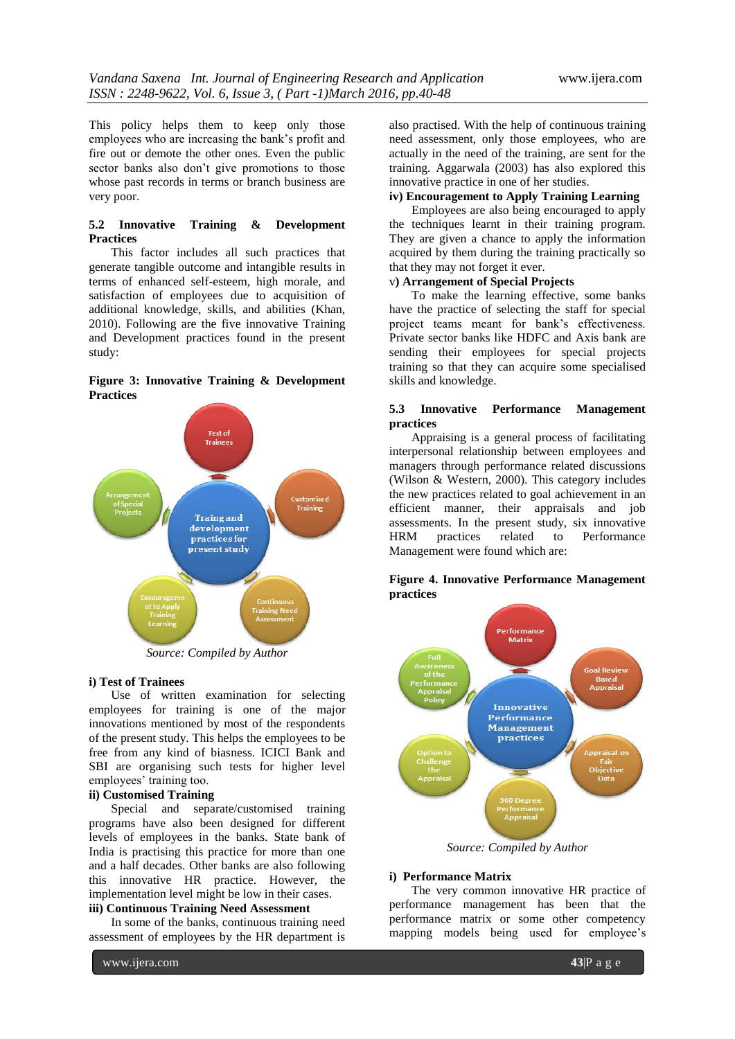This policy helps them to keep only those employees who are increasing the bank's profit and fire out or demote the other ones. Even the public sector banks also don't give promotions to those whose past records in terms or branch business are very poor.

# **5.2 Innovative Training & Development Practices**

This factor includes all such practices that generate tangible outcome and intangible results in terms of enhanced self-esteem, high morale, and satisfaction of employees due to acquisition of additional knowledge, skills, and abilities (Khan, 2010). Following are the five innovative Training and Development practices found in the present study:

# **Figure 3: Innovative Training & Development Practices**



*Source: Compiled by Author*

#### **i) Test of Trainees**

Use of written examination for selecting employees for training is one of the major innovations mentioned by most of the respondents of the present study. This helps the employees to be free from any kind of biasness. ICICI Bank and SBI are organising such tests for higher level employees' training too.

# **ii) Customised Training**

Special and separate/customised training programs have also been designed for different levels of employees in the banks. State bank of India is practising this practice for more than one and a half decades. Other banks are also following this innovative HR practice. However, the implementation level might be low in their cases.

# **iii) Continuous Training Need Assessment**

In some of the banks, continuous training need assessment of employees by the HR department is

also practised. With the help of continuous training need assessment, only those employees, who are actually in the need of the training, are sent for the training. Aggarwala (2003) has also explored this innovative practice in one of her studies.

# **iv) Encouragement to Apply Training Learning**

Employees are also being encouraged to apply the techniques learnt in their training program. They are given a chance to apply the information acquired by them during the training practically so that they may not forget it ever.

# v**) Arrangement of Special Projects**

To make the learning effective, some banks have the practice of selecting the staff for special project teams meant for bank's effectiveness. Private sector banks like HDFC and Axis bank are sending their employees for special projects training so that they can acquire some specialised skills and knowledge.

#### **5.3 Innovative Performance Management practices**

Appraising is a general process of facilitating interpersonal relationship between employees and managers through performance related discussions (Wilson & Western, 2000). This category includes the new practices related to goal achievement in an efficient manner, their appraisals and job assessments. In the present study, six innovative HRM practices related to Performance Management were found which are:

# **Figure 4. Innovative Performance Management practices**



*Source: Compiled by Author*

#### **i) Performance Matrix**

The very common innovative HR practice of performance management has been that the performance matrix or some other competency mapping models being used for employee's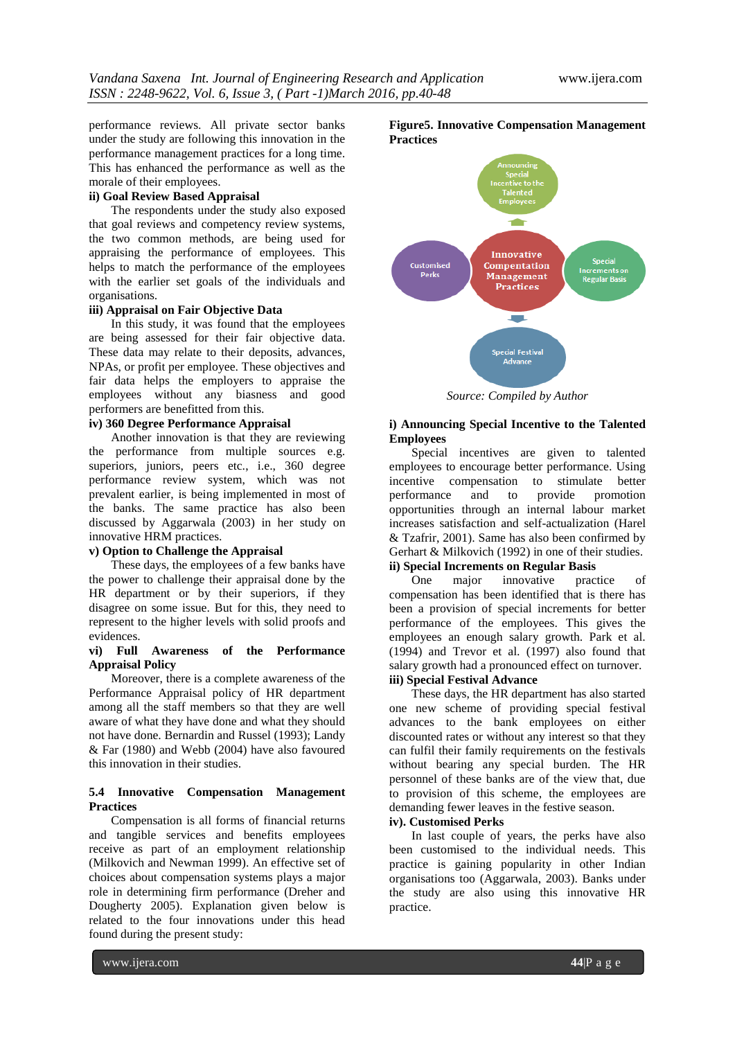performance reviews. All private sector banks under the study are following this innovation in the performance management practices for a long time. This has enhanced the performance as well as the morale of their employees.

# **ii) Goal Review Based Appraisal**

The respondents under the study also exposed that goal reviews and competency review systems, the two common methods, are being used for appraising the performance of employees. This helps to match the performance of the employees with the earlier set goals of the individuals and organisations.

# **iii) Appraisal on Fair Objective Data**

In this study, it was found that the employees are being assessed for their fair objective data. These data may relate to their deposits, advances, NPAs, or profit per employee. These objectives and fair data helps the employers to appraise the employees without any biasness and good performers are benefitted from this.

#### **iv) 360 Degree Performance Appraisal**

Another innovation is that they are reviewing the performance from multiple sources e.g. superiors, juniors, peers etc., i.e., 360 degree performance review system, which was not prevalent earlier, is being implemented in most of the banks. The same practice has also been discussed by Aggarwala (2003) in her study on innovative HRM practices.

# **v) Option to Challenge the Appraisal**

These days, the employees of a few banks have the power to challenge their appraisal done by the HR department or by their superiors, if they disagree on some issue. But for this, they need to represent to the higher levels with solid proofs and evidences.

#### **vi) Full Awareness of the Performance Appraisal Policy**

Moreover, there is a complete awareness of the Performance Appraisal policy of HR department among all the staff members so that they are well aware of what they have done and what they should not have done. Bernardin and Russel (1993); Landy & Far (1980) and Webb (2004) have also favoured this innovation in their studies.

#### **5.4 Innovative Compensation Management Practices**

Compensation is all forms of financial returns and tangible services and benefits employees receive as part of an employment relationship (Milkovich and Newman 1999). An effective set of choices about compensation systems plays a major role in determining firm performance (Dreher and Dougherty 2005). Explanation given below is related to the four innovations under this head found during the present study:



**Figure5. Innovative Compensation Management** 

*Source: Compiled by Author*

# **i) Announcing Special Incentive to the Talented Employees**

Special incentives are given to talented employees to encourage better performance. Using incentive compensation to stimulate better performance and to provide promotion opportunities through an internal labour market increases satisfaction and self-actualization (Harel & Tzafrir, 2001). Same has also been confirmed by Gerhart & Milkovich (1992) in one of their studies.

# **ii) Special Increments on Regular Basis**

One major innovative practice of compensation has been identified that is there has been a provision of special increments for better performance of the employees. This gives the employees an enough salary growth. Park et al. (1994) and Trevor et al. (1997) also found that salary growth had a pronounced effect on turnover. **iii) Special Festival Advance**

These days, the HR department has also started one new scheme of providing special festival advances to the bank employees on either discounted rates or without any interest so that they can fulfil their family requirements on the festivals without bearing any special burden. The HR personnel of these banks are of the view that, due to provision of this scheme, the employees are demanding fewer leaves in the festive season.

# **iv). Customised Perks**

In last couple of years, the perks have also been customised to the individual needs. This practice is gaining popularity in other Indian organisations too (Aggarwala, 2003). Banks under the study are also using this innovative HR practice.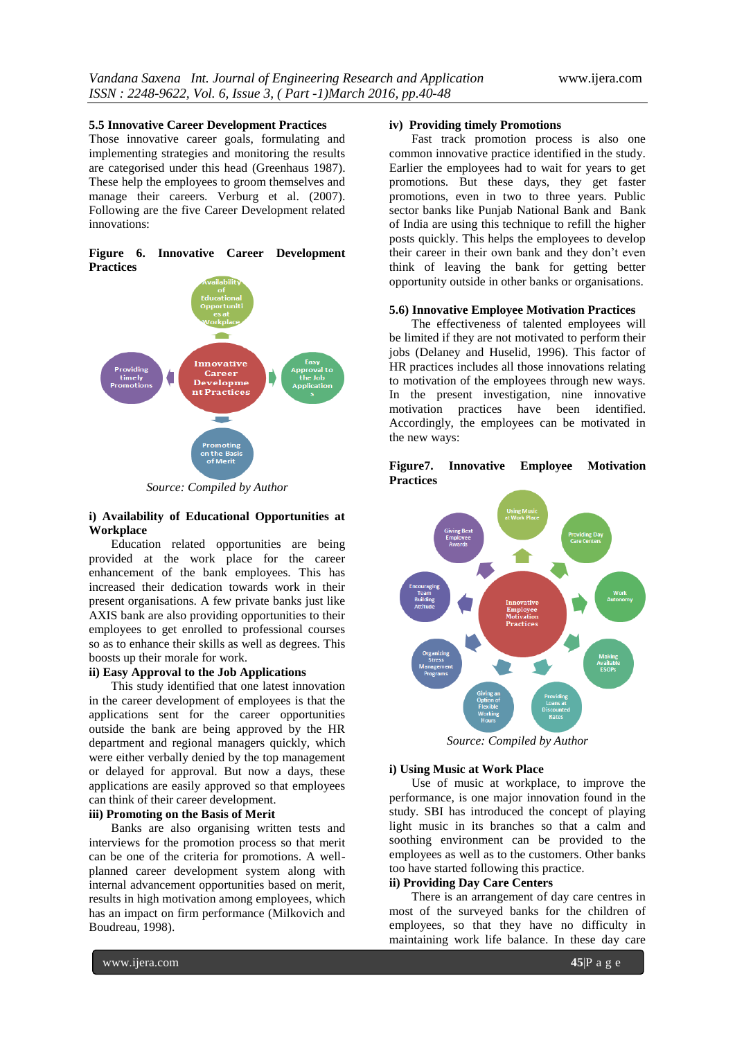#### **5.5 Innovative Career Development Practices**

Those innovative career goals, formulating and implementing strategies and monitoring the results are categorised under this head (Greenhaus 1987). These help the employees to groom themselves and manage their careers. Verburg et al. (2007). Following are the five Career Development related innovations:





*Source: Compiled by Author*

#### **i) Availability of Educational Opportunities at Workplace**

Education related opportunities are being provided at the work place for the career enhancement of the bank employees. This has increased their dedication towards work in their present organisations. A few private banks just like AXIS bank are also providing opportunities to their employees to get enrolled to professional courses so as to enhance their skills as well as degrees. This boosts up their morale for work.

#### **ii) Easy Approval to the Job Applications**

This study identified that one latest innovation in the career development of employees is that the applications sent for the career opportunities outside the bank are being approved by the HR department and regional managers quickly, which were either verbally denied by the top management or delayed for approval. But now a days, these applications are easily approved so that employees can think of their career development.

#### **iii) Promoting on the Basis of Merit**

Banks are also organising written tests and interviews for the promotion process so that merit can be one of the criteria for promotions. A wellplanned career development system along with internal advancement opportunities based on merit, results in high motivation among employees, which has an impact on firm performance (Milkovich and Boudreau, 1998).

#### **iv) Providing timely Promotions**

Fast track promotion process is also one common innovative practice identified in the study. Earlier the employees had to wait for years to get promotions. But these days, they get faster promotions, even in two to three years. Public sector banks like Punjab National Bank and Bank of India are using this technique to refill the higher posts quickly. This helps the employees to develop their career in their own bank and they don't even think of leaving the bank for getting better opportunity outside in other banks or organisations.

### **5.6) Innovative Employee Motivation Practices**

The effectiveness of talented employees will be limited if they are not motivated to perform their jobs (Delaney and Huselid, 1996). This factor of HR practices includes all those innovations relating to motivation of the employees through new ways. In the present investigation, nine innovative motivation practices have been identified. Accordingly, the employees can be motivated in the new ways:



**Figure7. Innovative Employee Motivation Practices**

*Source: Compiled by Author*

# **i) Using Music at Work Place**

Use of music at workplace, to improve the performance, is one major innovation found in the study. SBI has introduced the concept of playing light music in its branches so that a calm and soothing environment can be provided to the employees as well as to the customers. Other banks too have started following this practice.

# **ii) Providing Day Care Centers**

There is an arrangement of day care centres in most of the surveyed banks for the children of employees, so that they have no difficulty in maintaining work life balance. In these day care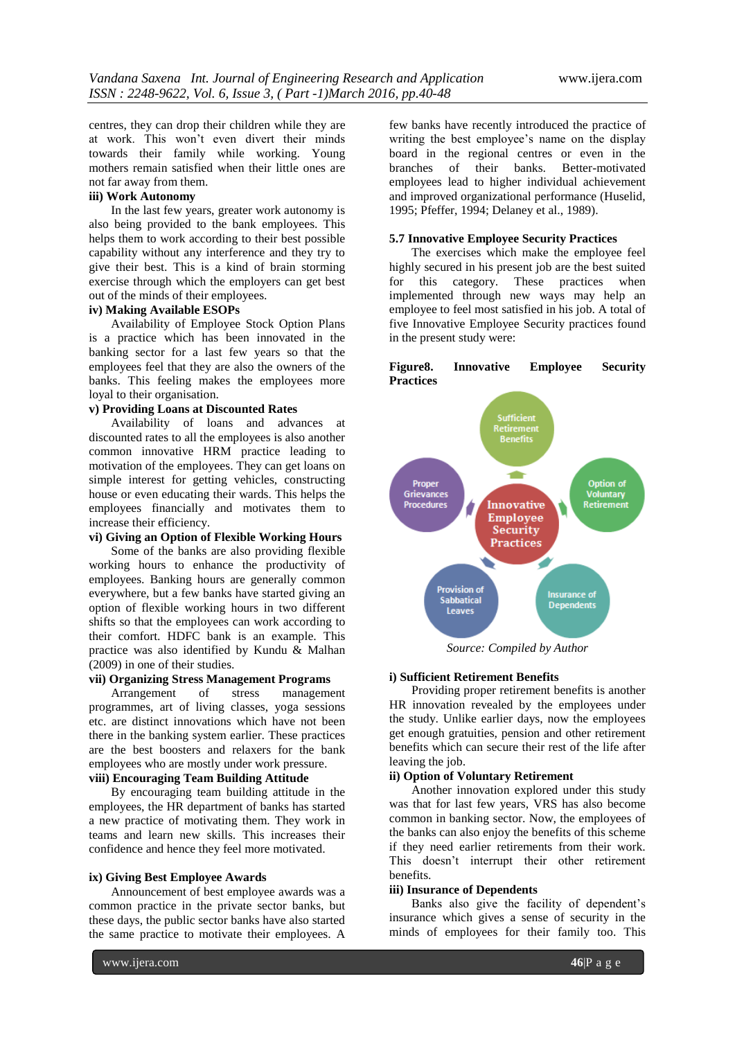centres, they can drop their children while they are at work. This won't even divert their minds towards their family while working. Young mothers remain satisfied when their little ones are not far away from them.

# **iii) Work Autonomy**

In the last few years, greater work autonomy is also being provided to the bank employees. This helps them to work according to their best possible capability without any interference and they try to give their best. This is a kind of brain storming exercise through which the employers can get best out of the minds of their employees.

# **iv) Making Available ESOPs**

Availability of Employee Stock Option Plans is a practice which has been innovated in the banking sector for a last few years so that the employees feel that they are also the owners of the banks. This feeling makes the employees more loyal to their organisation.

#### **v) Providing Loans at Discounted Rates**

Availability of loans and advances at discounted rates to all the employees is also another common innovative HRM practice leading to motivation of the employees. They can get loans on simple interest for getting vehicles, constructing house or even educating their wards. This helps the employees financially and motivates them to increase their efficiency.

# **vi) Giving an Option of Flexible Working Hours**

Some of the banks are also providing flexible working hours to enhance the productivity of employees. Banking hours are generally common everywhere, but a few banks have started giving an option of flexible working hours in two different shifts so that the employees can work according to their comfort. HDFC bank is an example. This practice was also identified by Kundu & Malhan (2009) in one of their studies.

#### **vii) Organizing Stress Management Programs**

Arrangement of stress management programmes, art of living classes, yoga sessions etc. are distinct innovations which have not been there in the banking system earlier. These practices are the best boosters and relaxers for the bank employees who are mostly under work pressure.

# **viii) Encouraging Team Building Attitude**

By encouraging team building attitude in the employees, the HR department of banks has started a new practice of motivating them. They work in teams and learn new skills. This increases their confidence and hence they feel more motivated.

#### **ix) Giving Best Employee Awards**

Announcement of best employee awards was a common practice in the private sector banks, but these days, the public sector banks have also started the same practice to motivate their employees. A

few banks have recently introduced the practice of writing the best employee's name on the display board in the regional centres or even in the branches of their banks. Better-motivated employees lead to higher individual achievement and improved organizational performance (Huselid, 1995; Pfeffer, 1994; Delaney et al., 1989).

### **5.7 Innovative Employee Security Practices**

The exercises which make the employee feel highly secured in his present job are the best suited for this category. These practices when implemented through new ways may help an employee to feel most satisfied in his job. A total of five Innovative Employee Security practices found in the present study were:

#### **Figure8. Innovative Employee Security Practices**



*Source: Compiled by Author*

#### **i) Sufficient Retirement Benefits**

Providing proper retirement benefits is another HR innovation revealed by the employees under the study. Unlike earlier days, now the employees get enough gratuities, pension and other retirement benefits which can secure their rest of the life after leaving the job.

# **ii) Option of Voluntary Retirement**

Another innovation explored under this study was that for last few years, VRS has also become common in banking sector. Now, the employees of the banks can also enjoy the benefits of this scheme if they need earlier retirements from their work. This doesn't interrupt their other retirement benefits.

#### **iii) Insurance of Dependents**

Banks also give the facility of dependent's insurance which gives a sense of security in the minds of employees for their family too. This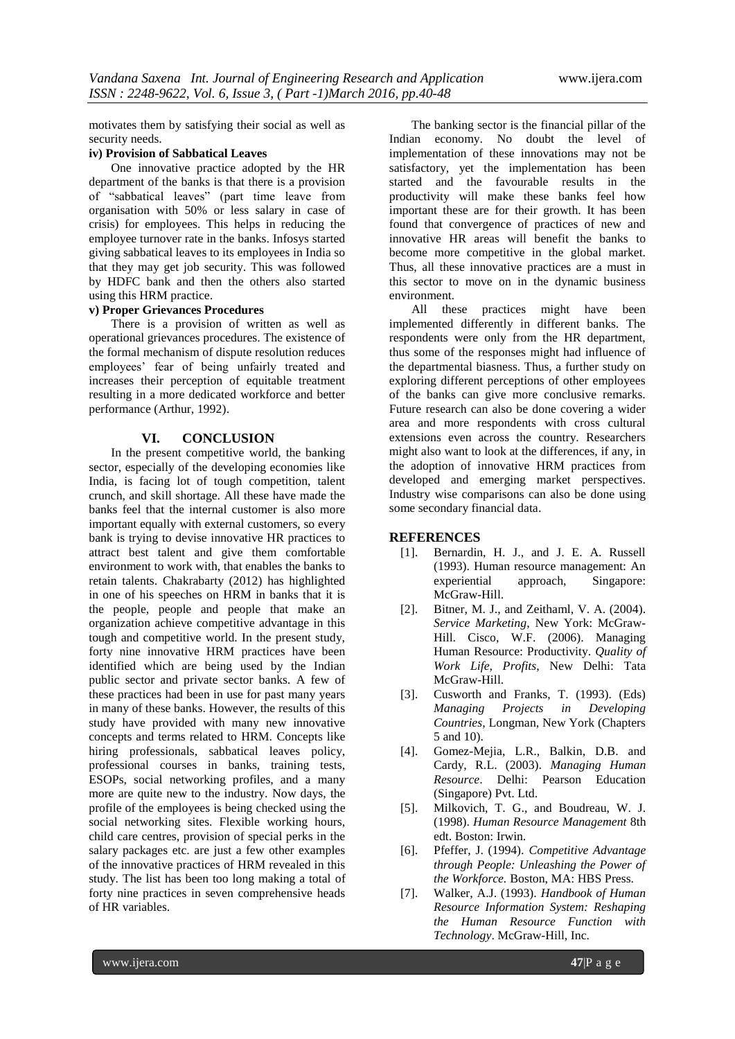motivates them by satisfying their social as well as security needs.

# **iv) Provision of Sabbatical Leaves**

One innovative practice adopted by the HR department of the banks is that there is a provision of "sabbatical leaves" (part time leave from organisation with 50% or less salary in case of crisis) for employees. This helps in reducing the employee turnover rate in the banks. Infosys started giving sabbatical leaves to its employees in India so that they may get job security. This was followed by HDFC bank and then the others also started using this HRM practice.

#### **v) Proper Grievances Procedures**

There is a provision of written as well as operational grievances procedures. The existence of the formal mechanism of dispute resolution reduces employees' fear of being unfairly treated and increases their perception of equitable treatment resulting in a more dedicated workforce and better performance (Arthur, 1992).

#### **VI. CONCLUSION**

In the present competitive world, the banking sector, especially of the developing economies like India, is facing lot of tough competition, talent crunch, and skill shortage. All these have made the banks feel that the internal customer is also more important equally with external customers, so every bank is trying to devise innovative HR practices to attract best talent and give them comfortable environment to work with, that enables the banks to retain talents. Chakrabarty (2012) has highlighted in one of his speeches on HRM in banks that it is the people, people and people that make an organization achieve competitive advantage in this tough and competitive world. In the present study, forty nine innovative HRM practices have been identified which are being used by the Indian public sector and private sector banks. A few of these practices had been in use for past many years in many of these banks. However, the results of this study have provided with many new innovative concepts and terms related to HRM. Concepts like hiring professionals, sabbatical leaves policy, professional courses in banks, training tests, ESOPs, social networking profiles, and a many more are quite new to the industry. Now days, the profile of the employees is being checked using the social networking sites. Flexible working hours, child care centres, provision of special perks in the salary packages etc. are just a few other examples of the innovative practices of HRM revealed in this study. The list has been too long making a total of forty nine practices in seven comprehensive heads of HR variables.

The banking sector is the financial pillar of the Indian economy. No doubt the level of implementation of these innovations may not be satisfactory, yet the implementation has been started and the favourable results in the productivity will make these banks feel how important these are for their growth. It has been found that convergence of practices of new and innovative HR areas will benefit the banks to become more competitive in the global market. Thus, all these innovative practices are a must in this sector to move on in the dynamic business environment.

All these practices might have been implemented differently in different banks. The respondents were only from the HR department, thus some of the responses might had influence of the departmental biasness. Thus, a further study on exploring different perceptions of other employees of the banks can give more conclusive remarks. Future research can also be done covering a wider area and more respondents with cross cultural extensions even across the country. Researchers might also want to look at the differences, if any, in the adoption of innovative HRM practices from developed and emerging market perspectives. Industry wise comparisons can also be done using some secondary financial data.

#### **REFERENCES**

- [1]. Bernardin, H. J., and J. E. A. Russell (1993). Human resource management: An experiential approach, Singapore: McGraw-Hill.
- [2]. Bitner, M. J., and Zeithaml, V. A. (2004). *Service Marketing*, New York: McGraw-Hill. Cisco, W.F. (2006). Managing Human Resource: Productivity. *Quality of Work Life, Profits*, New Delhi: Tata McGraw-Hill.
- [3]. Cusworth and Franks, T. (1993). (Eds) *Managing Projects in Developing Countries,* Longman, New York (Chapters 5 and 10).
- [4]. Gomez-Mejia, L.R., Balkin, D.B. and Cardy, R.L. (2003). *Managing Human Resource*. Delhi: Pearson Education (Singapore) Pvt. Ltd.
- [5]. Milkovich, T. G., and Boudreau, W. J. (1998). *Human Resource Management* 8th edt. Boston: Irwin.
- [6]. Pfeffer, J. (1994). *Competitive Advantage through People: Unleashing the Power of the Workforce.* Boston, MA: HBS Press.
- [7]. Walker, A.J. (1993). *Handbook of Human Resource Information System: Reshaping the Human Resource Function with Technology*. McGraw-Hill, Inc.